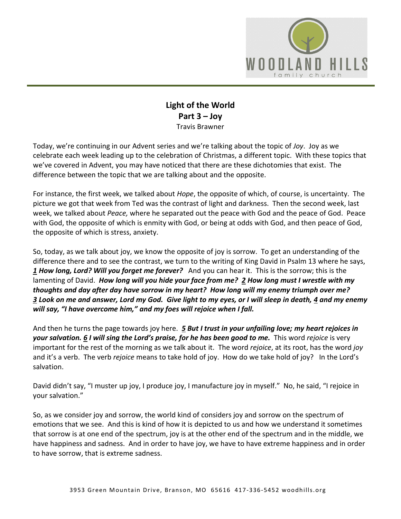

## **Light of the World Part 3 – Joy** Travis Brawner

Today, we're continuing in our Advent series and we're talking about the topic of *Joy*. Joy as we celebrate each week leading up to the celebration of Christmas, a different topic. With these topics that we've covered in Advent, you may have noticed that there are these dichotomies that exist. The difference between the topic that we are talking about and the opposite.

For instance, the first week, we talked about *Hope*, the opposite of which, of course, is uncertainty. The picture we got that week from Ted was the contrast of light and darkness. Then the second week, last week, we talked about *Peace,* where he separated out the peace with God and the peace of God. Peace with God, the opposite of which is enmity with God, or being at odds with God, and then peace of God, the opposite of which is stress, anxiety.

So, today, as we talk about joy, we know the opposite of joy is sorrow. To get an understanding of the difference there and to see the contrast, we turn to the writing of King David in Psalm 13 where he says, *[1](https://www.studylight.org/desk/?q=ps%2013:1&t1=en_niv&sr=1) How long, Lord? Will you forget me forever?* And you can hear it. This is the sorrow; this is the lamenting of David. *How long will you hide your face from me? [2](https://www.studylight.org/desk/?q=ps%2013:2&t1=en_niv&sr=1) How long must I wrestle with my thoughts and day after day have sorrow in my heart? How long will my enemy triumph over me? [3](https://www.studylight.org/desk/?q=ps%2013:3&t1=en_niv&sr=1) Look on me and answer, Lord my God. Give light to my eyes, or I will sleep in death, [4](https://www.studylight.org/desk/?q=ps%2013:4&t1=en_niv&sr=1) and my enemy will say, "I have overcome him," and my foes will rejoice when I fall.*

And then he turns the page towards joy here. *[5](https://www.studylight.org/desk/?q=ps%2013:5&t1=en_niv&sr=1) But I trust in your unfailing love; my heart rejoices in your salvation. [6](https://www.studylight.org/desk/?q=ps%2013:6&t1=en_niv&sr=1) I will sing the Lord's praise, for he has been good to me.* This word *rejoice* is very important for the rest of the morning as we talk about it. The word *rejoice*, at its root, has the word *joy* and it's a verb. The verb *rejoice* means to take hold of joy. How do we take hold of joy? In the Lord's salvation.

David didn't say, "I muster up joy, I produce joy, I manufacture joy in myself." No, he said, "I rejoice in your salvation."

So, as we consider joy and sorrow, the world kind of considers joy and sorrow on the spectrum of emotions that we see. And this is kind of how it is depicted to us and how we understand it sometimes that sorrow is at one end of the spectrum, joy is at the other end of the spectrum and in the middle, we have happiness and sadness. And in order to have joy, we have to have extreme happiness and in order to have sorrow, that is extreme sadness.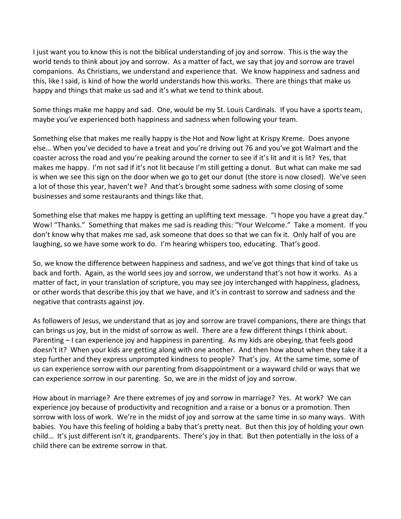I just want you to know this is not the biblical understanding of joy and sorrow. This is the way the world tends to think about joy and sorrow. As a matter of fact, we say that joy and sorrow are travel companions. As Christians, we understand and experience that. We know happiness and sadness and this, like I said, is kind of how the world understands how this works. There are things that make us happy and things that make us sad and it's what we tend to think about.

Some things make me happy and sad. One, would be my St. Louis Cardinals. If you have a sports team, maybe you've experienced both happiness and sadness when following your team.

Something else that makes me really happy is the Hot and Now light at Krispy Kreme. Does anyone else… When you've decided to have a treat and you're driving out 76 and you've got Walmart and the coaster across the road and you're peaking around the corner to see if it's lit and it is lit? Yes, that makes me happy. I'm not sad if it's not lit because I'm still getting a donut. But what can make me sad is when we see this sign on the door when we go to get our donut (the store is now closed). We've seen a lot of those this year, haven't we? And that's brought some sadness with some closing of some businesses and some restaurants and things like that.

Something else that makes me happy is getting an uplifting text message. "I hope you have a great day." Wow! "Thanks." Something that makes me sad is reading this: "Your Welcome." Take a moment. If you don't know why that makes me sad, ask someone that does so that we can fix it. Only half of you are laughing, so we have some work to do. I'm hearing whispers too, educating. That's good.

So, we know the difference between happiness and sadness, and we've got things that kind of take us back and forth. Again, as the world sees joy and sorrow, we understand that's not how it works. As a matter of fact, in your translation of scripture, you may see joy interchanged with happiness, gladness*,* or other words that describe this joy that we have, and it's in contrast to sorrow and sadness and the negative that contrasts against joy.

As followers of Jesus, we understand that as joy and sorrow are travel companions, there are things that can brings us joy, but in the midst of sorrow as well. There are a few different things I think about. Parenting – I can experience joy and happiness in parenting. As my kids are obeying, that feels good doesn't it? When your kids are getting along with one another. And then how about when they take it a step further and they express unprompted kindness to people? That's joy. At the same time, some of us can experience sorrow with our parenting from disappointment or a wayward child or ways that we can experience sorrow in our parenting. So, we are in the midst of joy and sorrow.

How about in marriage? Are there extremes of joy and sorrow in marriage? Yes. At work? We can experience joy because of productivity and recognition and a raise or a bonus or a promotion. Then sorrow with loss of work. We're in the midst of joy and sorrow at the same time in so many ways. With babies. You have this feeling of holding a baby that's pretty neat. But then this joy of holding your own child… It's just different isn't it, grandparents. There's joy in that. But then potentially in the loss of a child there can be extreme sorrow in that.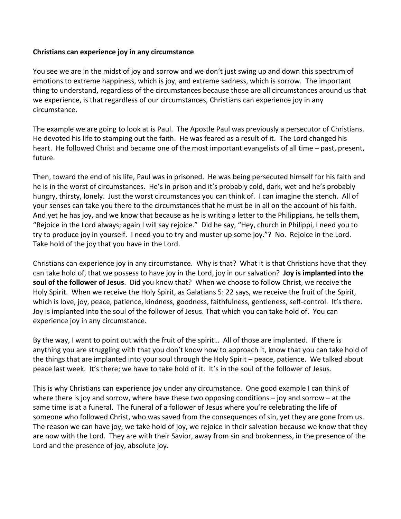## **Christians can experience joy in any circumstance**.

You see we are in the midst of joy and sorrow and we don't just swing up and down this spectrum of emotions to extreme happiness, which is joy, and extreme sadness, which is sorrow. The important thing to understand, regardless of the circumstances because those are all circumstances around us that we experience, is that regardless of our circumstances, Christians can experience joy in any circumstance.

The example we are going to look at is Paul. The Apostle Paul was previously a persecutor of Christians. He devoted his life to stamping out the faith. He was feared as a result of it. The Lord changed his heart. He followed Christ and became one of the most important evangelists of all time – past, present, future.

Then, toward the end of his life, Paul was in prisoned. He was being persecuted himself for his faith and he is in the worst of circumstances. He's in prison and it's probably cold, dark, wet and he's probably hungry, thirsty, lonely. Just the worst circumstances you can think of. I can imagine the stench. All of your senses can take you there to the circumstances that he must be in all on the account of his faith. And yet he has joy, and we know that because as he is writing a letter to the Philippians, he tells them, "Rejoice in the Lord always; again I will say rejoice." Did he say, "Hey, church in Philippi, I need you to try to produce joy in yourself. I need you to try and muster up some joy."? No. Rejoice in the Lord. Take hold of the joy that you have in the Lord.

Christians can experience joy in any circumstance. Why is that? What it is that Christians have that they can take hold of, that we possess to have joy in the Lord, joy in our salvation? **Joy is implanted into the soul of the follower of Jesus**. Did you know that? When we choose to follow Christ, we receive the Holy Spirit. When we receive the Holy Spirit, as Galatians 5: 22 says, we receive the fruit of the Spirit, which is love, joy, peace, patience, kindness, goodness, faithfulness, gentleness, self-control. It's there. Joy is implanted into the soul of the follower of Jesus. That which you can take hold of. You can experience joy in any circumstance.

By the way, I want to point out with the fruit of the spirit… All of those are implanted. If there is anything you are struggling with that you don't know how to approach it, know that you can take hold of the things that are implanted into your soul through the Holy Spirit – peace, patience. We talked about peace last week. It's there; we have to take hold of it. It's in the soul of the follower of Jesus.

This is why Christians can experience joy under any circumstance. One good example I can think of where there is joy and sorrow, where have these two opposing conditions  $-$  joy and sorrow  $-$  at the same time is at a funeral. The funeral of a follower of Jesus where you're celebrating the life of someone who followed Christ, who was saved from the consequences of sin, yet they are gone from us. The reason we can have joy, we take hold of joy, we rejoice in their salvation because we know that they are now with the Lord. They are with their Savior, away from sin and brokenness, in the presence of the Lord and the presence of joy, absolute joy.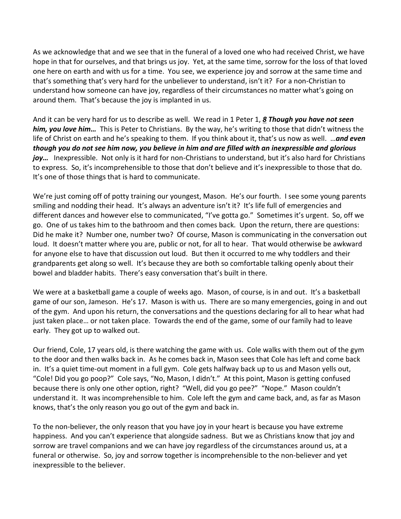As we acknowledge that and we see that in the funeral of a loved one who had received Christ, we have hope in that for ourselves, and that brings us joy. Yet, at the same time, sorrow for the loss of that loved one here on earth and with us for a time. You see, we experience joy and sorrow at the same time and that's something that's very hard for the unbeliever to understand, isn't it? For a non-Christian to understand how someone can have joy, regardless of their circumstances no matter what's going on around them. That's because the joy is implanted in us.

And it can be very hard for us to describe as well. We read in 1 Peter 1, *[8](https://www.studylight.org/desk/?q=1pe%201:8&t1=en_niv&sr=1) Though you have not seen him, you love him…* This is Peter to Christians. By the way, he's writing to those that didn't witness the life of Christ on earth and he's speaking to them. If you think about it, that's us now as well. …*and even though you do not see him now, you believe in him and are filled with an inexpressible and glorious joy…* Inexpressible. Not only is it hard for non-Christians to understand, but it's also hard for Christians to express. So, it's incomprehensible to those that don't believe and it's inexpressible to those that do. It's one of those things that is hard to communicate.

We're just coming off of potty training our youngest, Mason. He's our fourth. I see some young parents smiling and nodding their head. It's always an adventure isn't it? It's life full of emergencies and different dances and however else to communicated, "I've gotta go." Sometimes it's urgent. So, off we go. One of us takes him to the bathroom and then comes back. Upon the return, there are questions: Did he make it? Number one, number two? Of course, Mason is communicating in the conversation out loud. It doesn't matter where you are, public or not, for all to hear. That would otherwise be awkward for anyone else to have that discussion out loud. But then it occurred to me why toddlers and their grandparents get along so well. It's because they are both so comfortable talking openly about their bowel and bladder habits. There's easy conversation that's built in there.

We were at a basketball game a couple of weeks ago. Mason, of course, is in and out. It's a basketball game of our son, Jameson. He's 17. Mason is with us. There are so many emergencies, going in and out of the gym. And upon his return, the conversations and the questions declaring for all to hear what had just taken place… or not taken place. Towards the end of the game, some of our family had to leave early. They got up to walked out.

Our friend, Cole, 17 years old, is there watching the game with us. Cole walks with them out of the gym to the door and then walks back in. As he comes back in, Mason sees that Cole has left and come back in. It's a quiet time-out moment in a full gym. Cole gets halfway back up to us and Mason yells out, "Cole! Did you go poop?" Cole says, "No, Mason, I didn't." At this point, Mason is getting confused because there is only one other option, right? "Well, did you go pee?" "Nope." Mason couldn't understand it. It was incomprehensible to him. Cole left the gym and came back, and, as far as Mason knows, that's the only reason you go out of the gym and back in.

To the non-believer, the only reason that you have joy in your heart is because you have extreme happiness. And you can't experience that alongside sadness. But we as Christians know that joy and sorrow are travel companions and we can have joy regardless of the circumstances around us, at a funeral or otherwise. So, joy and sorrow together is incomprehensible to the non-believer and yet inexpressible to the believer.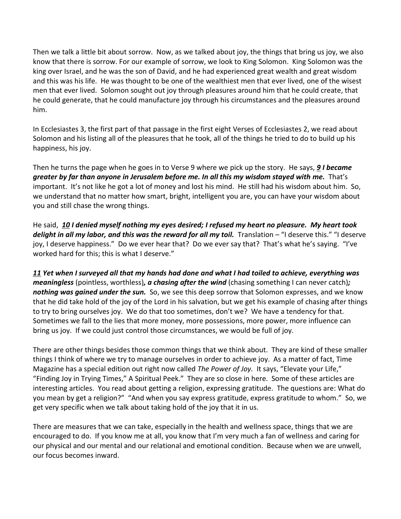Then we talk a little bit about sorrow. Now, as we talked about joy, the things that bring us joy, we also know that there is sorrow. For our example of sorrow, we look to King Solomon. King Solomon was the king over Israel, and he was the son of David, and he had experienced great wealth and great wisdom and this was his life. He was thought to be one of the wealthiest men that ever lived, one of the wisest men that ever lived. Solomon sought out joy through pleasures around him that he could create, that he could generate, that he could manufacture joy through his circumstances and the pleasures around him.

In Ecclesiastes 3, the first part of that passage in the first eight Verses of Ecclesiastes 2, we read about Solomon and his listing all of the pleasures that he took, all of the things he tried to do to build up his happiness, his joy.

Then he turns the page when he goes in to Verse 9 where we pick up the story. He says, *[9](https://www.studylight.org/desk/?q=ec%202:9&t1=en_niv&sr=1) I became greater by far than anyone in Jerusalem before me. In all this my wisdom stayed with me.* That's important. It's not like he got a lot of money and lost his mind. He still had his wisdom about him. So, we understand that no matter how smart, bright, intelligent you are, you can have your wisdom about you and still chase the wrong things.

He said, *[10](https://www.studylight.org/desk/?q=ec%202:10&t1=en_niv&sr=1) I denied myself nothing my eyes desired; I refused my heart no pleasure. My heart took delight in all my labor, and this was the reward for all my toil.* Translation – "I deserve this." "I deserve joy, I deserve happiness." Do we ever hear that? Do we ever say that? That's what he's saying. "I've worked hard for this; this is what I deserve."

*[11](https://www.studylight.org/desk/?q=ec%202:11&t1=en_niv&sr=1) Yet when I surveyed all that my hands had done and what I had toiled to achieve, everything was meaningless* (pointless, worthless)*, a chasing after the wind* (chasing something I can never catch)*; nothing was gained under the sun.* So, we see this deep sorrow that Solomon expresses, and we know that he did take hold of the joy of the Lord in his salvation, but we get his example of chasing after things to try to bring ourselves joy. We do that too sometimes, don't we? We have a tendency for that. Sometimes we fall to the lies that more money, more possessions, more power, more influence can bring us joy. If we could just control those circumstances, we would be full of joy.

There are other things besides those common things that we think about. They are kind of these smaller things I think of where we try to manage ourselves in order to achieve joy. As a matter of fact, Time Magazine has a special edition out right now called *The Power of Joy.* It says, "Elevate your Life," "Finding Joy in Trying Times," A Spiritual Peek." They are so close in here. Some of these articles are interesting articles. You read about getting a religion, expressing gratitude. The questions are: What do you mean by get a religion?" "And when you say express gratitude, express gratitude to whom." So, we get very specific when we talk about taking hold of the joy that it in us.

There are measures that we can take, especially in the health and wellness space, things that we are encouraged to do. If you know me at all, you know that I'm very much a fan of wellness and caring for our physical and our mental and our relational and emotional condition. Because when we are unwell, our focus becomes inward.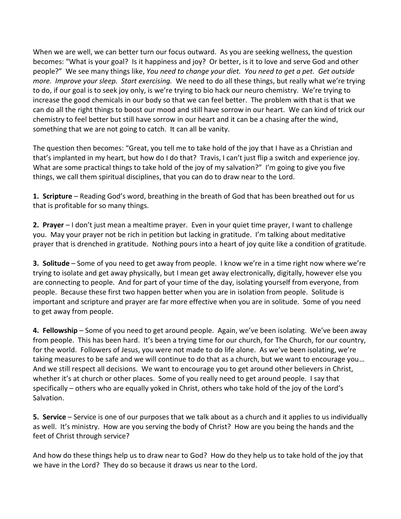When we are well, we can better turn our focus outward. As you are seeking wellness, the question becomes: "What is your goal? Is it happiness and joy? Or better, is it to love and serve God and other people?" We see many things like, *You need to change your diet. You need to get a pet. Get outside more. Improve your sleep. Start exercising.* We need to do all these things, but really what we're trying to do, if our goal is to seek joy only, is we're trying to bio hack our neuro chemistry. We're trying to increase the good chemicals in our body so that we can feel better. The problem with that is that we can do all the right things to boost our mood and still have sorrow in our heart. We can kind of trick our chemistry to feel better but still have sorrow in our heart and it can be a chasing after the wind, something that we are not going to catch. It can all be vanity.

The question then becomes: "Great, you tell me to take hold of the joy that I have as a Christian and that's implanted in my heart, but how do I do that? Travis, I can't just flip a switch and experience joy. What are some practical things to take hold of the joy of my salvation?" I'm going to give you five things, we call them spiritual disciplines, that you can do to draw near to the Lord.

**1. Scripture** – Reading God's word, breathing in the breath of God that has been breathed out for us that is profitable for so many things.

**2. Prayer** – I don't just mean a mealtime prayer. Even in your quiet time prayer, I want to challenge you. May your prayer not be rich in petition but lacking in gratitude. I'm talking about meditative prayer that is drenched in gratitude. Nothing pours into a heart of joy quite like a condition of gratitude.

**3. Solitude** – Some of you need to get away from people. I know we're in a time right now where we're trying to isolate and get away physically, but I mean get away electronically, digitally, however else you are connecting to people. And for part of your time of the day, isolating yourself from everyone, from people. Because these first two happen better when you are in isolation from people. Solitude is important and scripture and prayer are far more effective when you are in solitude. Some of you need to get away from people.

**4. Fellowship** – Some of you need to get around people. Again, we've been isolating. We've been away from people. This has been hard. It's been a trying time for our church, for The Church, for our country, for the world. Followers of Jesus, you were not made to do life alone. As we've been isolating, we're taking measures to be safe and we will continue to do that as a church, but we want to encourage you… And we still respect all decisions. We want to encourage you to get around other believers in Christ, whether it's at church or other places. Some of you really need to get around people. I say that specifically – others who are equally yoked in Christ, others who take hold of the joy of the Lord's Salvation.

**5. Service** – Service is one of our purposes that we talk about as a church and it applies to us individually as well. It's ministry. How are you serving the body of Christ? How are you being the hands and the feet of Christ through service?

And how do these things help us to draw near to God? How do they help us to take hold of the joy that we have in the Lord? They do so because it draws us near to the Lord.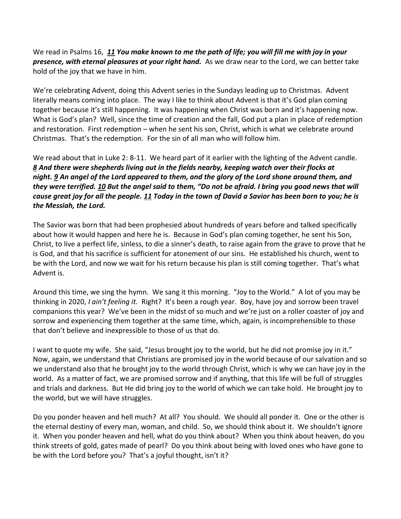We read in Psalms 16, *[11](https://www.studylight.org/desk/?q=ps%2016:11&t1=en_niv&sr=1) You make known to me the path of life; you will fill me with joy in your presence, with eternal pleasures at your right hand.* As we draw near to the Lord, we can better take hold of the joy that we have in him.

We're celebrating Advent, doing this Advent series in the Sundays leading up to Christmas. Advent literally means coming into place. The way I like to think about Advent is that it's God plan coming together because it's still happening. It was happening when Christ was born and it's happening now. What is God's plan? Well, since the time of creation and the fall, God put a plan in place of redemption and restoration. First redemption – when he sent his son, Christ, which is what we celebrate around Christmas. That's the redemption. For the sin of all man who will follow him.

We read about that in Luke 2: 8-11. We heard part of it earlier with the lighting of the Advent candle. *[8](https://www.studylight.org/desk/?q=lu%202:8&t1=en_niv&sr=1) And there were shepherds living out in the fields nearby, keeping watch over their flocks at night. [9](https://www.studylight.org/desk/?q=lu%202:9&t1=en_niv&sr=1) An angel of the Lord appeared to them, and the glory of the Lord shone around them, and they were terrified. [10](https://www.studylight.org/desk/?q=lu%202:10&t1=en_niv&sr=1) But the angel said to them, "Do not be afraid. I bring you good news that will cause great joy for all the people. [11](https://www.studylight.org/desk/?q=lu%202:11&t1=en_niv&sr=1) Today in the town of David a Savior has been born to you; he is the Messiah, the Lord.*

The Savior was born that had been prophesied about hundreds of years before and talked specifically about how it would happen and here he is. Because in God's plan coming together, he sent his Son, Christ, to live a perfect life, sinless, to die a sinner's death, to raise again from the grave to prove that he is God, and that his sacrifice is sufficient for atonement of our sins. He established his church, went to be with the Lord, and now we wait for his return because his plan is still coming together. That's what Advent is.

Around this time, we sing the hymn. We sang it this morning. "Joy to the World." A lot of you may be thinking in 2020, *I ain't feeling it.* Right? It's been a rough year. Boy, have joy and sorrow been travel companions this year? We've been in the midst of so much and we're just on a roller coaster of joy and sorrow and experiencing them together at the same time, which, again, is incomprehensible to those that don't believe and inexpressible to those of us that do.

I want to quote my wife. She said, "Jesus brought joy to the world, but he did not promise joy in it." Now, again, we understand that Christians are promised joy in the world because of our salvation and so we understand also that he brought joy to the world through Christ, which is why we can have joy in the world. As a matter of fact, we are promised sorrow and if anything, that this life will be full of struggles and trials and darkness. But He did bring joy to the world of which we can take hold. He brought joy to the world, but we will have struggles.

Do you ponder heaven and hell much? At all? You should. We should all ponder it. One or the other is the eternal destiny of every man, woman, and child. So, we should think about it. We shouldn't ignore it. When you ponder heaven and hell, what do you think about? When you think about heaven, do you think streets of gold, gates made of pearl? Do you think about being with loved ones who have gone to be with the Lord before you? That's a joyful thought, isn't it?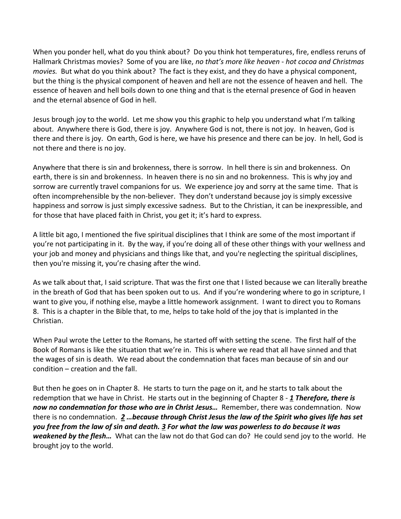When you ponder hell, what do you think about? Do you think hot temperatures, fire, endless reruns of Hallmark Christmas movies? Some of you are like, *no that's more like heaven* - *hot cocoa and Christmas movies.* But what do you think about? The fact is they exist, and they do have a physical component, but the thing is the physical component of heaven and hell are not the essence of heaven and hell. The essence of heaven and hell boils down to one thing and that is the eternal presence of God in heaven and the eternal absence of God in hell.

Jesus brough joy to the world. Let me show you this graphic to help you understand what I'm talking about. Anywhere there is God, there is joy. Anywhere God is not, there is not joy. In heaven, God is there and there is joy. On earth, God is here, we have his presence and there can be joy. In hell, God is not there and there is no joy.

Anywhere that there is sin and brokenness, there is sorrow. In hell there is sin and brokenness. On earth, there is sin and brokenness. In heaven there is no sin and no brokenness. This is why joy and sorrow are currently travel companions for us. We experience joy and sorry at the same time. That is often incomprehensible by the non-believer. They don't understand because joy is simply excessive happiness and sorrow is just simply excessive sadness. But to the Christian, it can be inexpressible, and for those that have placed faith in Christ, you get it; it's hard to express.

A little bit ago, I mentioned the five spiritual disciplines that I think are some of the most important if you're not participating in it. By the way, if you're doing all of these other things with your wellness and your job and money and physicians and things like that, and you're neglecting the spiritual disciplines, then you're missing it, you're chasing after the wind.

As we talk about that, I said scripture. That was the first one that I listed because we can literally breathe in the breath of God that has been spoken out to us. And if you're wondering where to go in scripture, I want to give you, if nothing else, maybe a little homework assignment. I want to direct you to Romans 8. This is a chapter in the Bible that, to me, helps to take hold of the joy that is implanted in the Christian.

When Paul wrote the Letter to the Romans, he started off with setting the scene. The first half of the Book of Romans is like the situation that we're in. This is where we read that all have sinned and that the wages of sin is death. We read about the condemnation that faces man because of sin and our condition – creation and the fall.

But then he goes on in Chapter 8. He starts to turn the page on it, and he starts to talk about the redemption that we have in Christ. He starts out in the beginning of Chapter 8 - *[1](https://www.studylight.org/desk/?q=ro%208:1&t1=en_niv&sr=1) Therefore, there is now no condemnation for those who are in Christ Jesus…* Remember, there was condemnation. Now there is no condemnation. *[2](https://www.studylight.org/desk/?q=ro%208:2&t1=en_niv&sr=1) …because through Christ Jesus the law of the Spirit who gives life has set you free from the law of sin and death. [3](https://www.studylight.org/desk/?q=ro%208:3&t1=en_niv&sr=1) For what the law was powerless to do because it was weakened by the flesh…* What can the law not do that God can do? He could send joy to the world. He brought joy to the world.